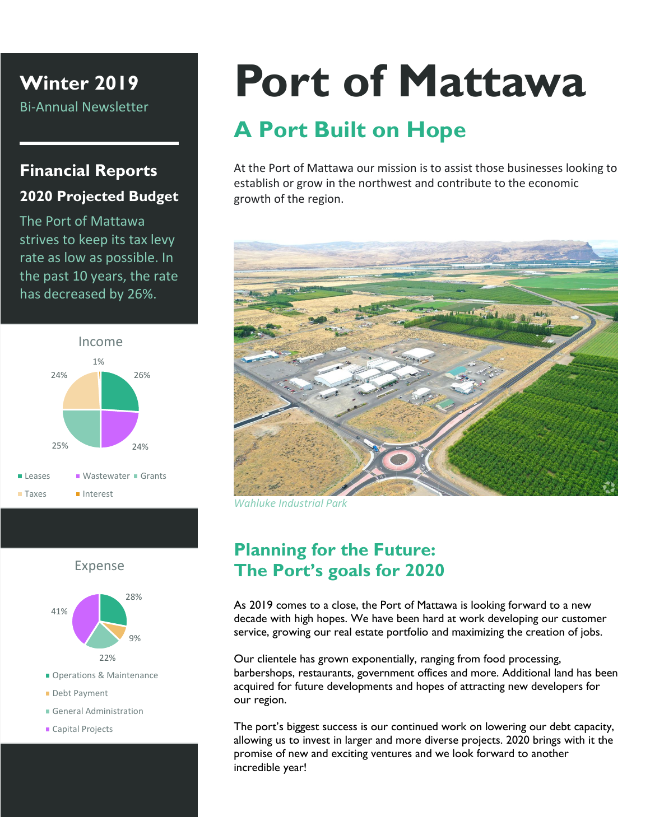**Winter 2019**

Bi-Annual Newsletter

### **Financial Reports 2020 Projected Budget**

The Port of Mattawa strives to keep its tax levy rate as low as possible. In the past 10 years, the rate has decreased by 26%.



#### Expense



- Operations & Maintenance
- Debt Payment
- General Administration
- Capital Projects

# **Port of Mattawa**

## **A Port Built on Hope**

At the Port of Mattawa our mission is to assist those businesses looking to establish or grow in the northwest and contribute to the economic growth of the region.



*Wahluke Industrial Park*

#### **Planning for the Future: The Port's goals for 2020**

As 2019 comes to a close, the Port of Mattawa is looking forward to a new decade with high hopes. We have been hard at work developing our customer service, growing our real estate portfolio and maximizing the creation of jobs.

Our clientele has grown exponentially, ranging from food processing, barbershops, restaurants, government offices and more. Additional land has been acquired for future developments and hopes of attracting new developers for our region.

The port's biggest success is our continued work on lowering our debt capacity, allowing us to invest in larger and more diverse projects. 2020 brings with it the promise of new and exciting ventures and we look forward to another incredible year!